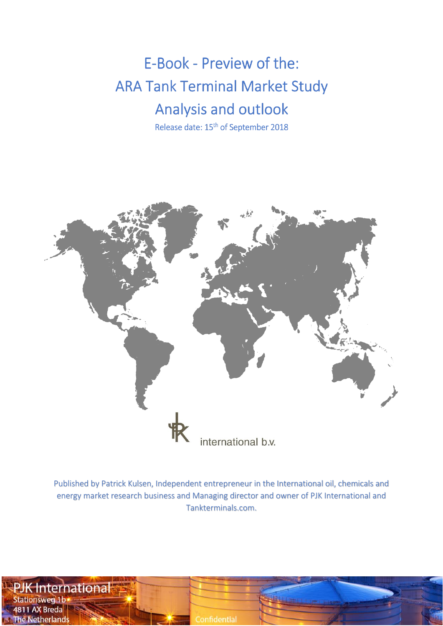E-Book - Preview of the: **ARA Tank Terminal Market Study** Analysis and outlook

Release date: 15<sup>th</sup> of September 2018



Published by Patrick Kulsen, Independent entrepreneur in the International oil, chemicals and energy market research business and Managing director and owner of PJK International and Tankterminals.com.

**International Stationsweg 1b** 4811 AX Breda **The Netherlands**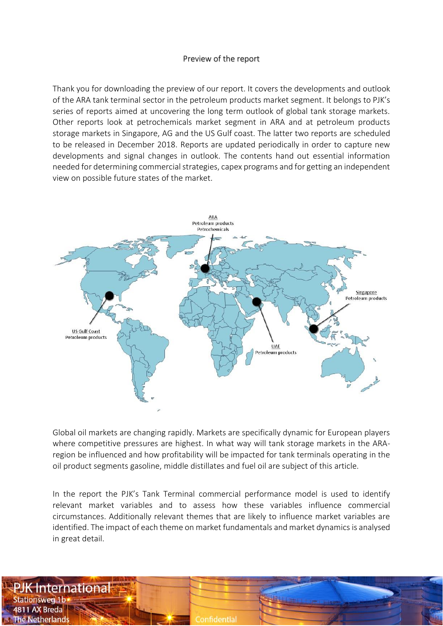#### Preview of the report

Thank you for downloading the preview of our report. It covers the developments and outlook of the ARA tank terminal sector in the petroleum products market segment. It belongs to PJK's series of reports aimed at uncovering the long term outlook of global tank storage markets. Other reports look at petrochemicals market segment in ARA and at petroleum products storage markets in Singapore, AG and the US Gulf coast. The latter two reports are scheduled to be released in December 2018. Reports are updated periodically in order to capture new developments and signal changes in outlook. The contents hand out essential information needed for determining commercial strategies, capex programs and for getting an independent view on possible future states of the market.



Global oil markets are changing rapidly. Markets are specifically dynamic for European players where competitive pressures are highest. In what way will tank storage markets in the ARAregion be influenced and how profitability will be impacted for tank terminals operating in the oil product segments gasoline, middle distillates and fuel oil are subject of this article.

In the report the PJK's Tank Terminal commercial performance model is used to identify relevant market variables and to assess how these variables influence commercial circumstances. Additionally relevant themes that are likely to influence market variables are identified. The impact of each theme on market fundamentals and market dynamics is analysed in great detail.

International **Stationsweg 1b** 4811 AX Breda **The Netherlands** 

Confidential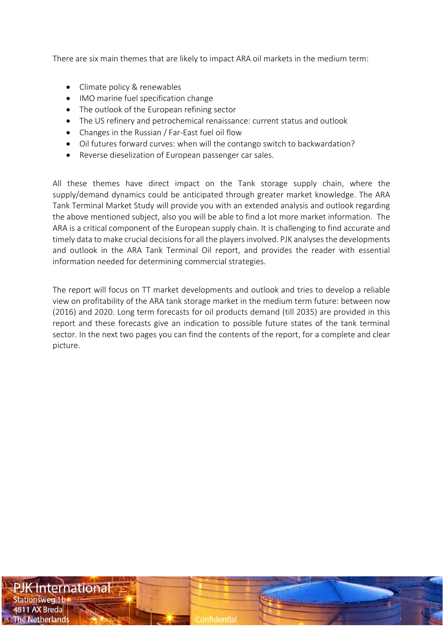There are six main themes that are likely to impact ARA oil markets in the medium term:

- Climate policy & renewables
- IMO marine fuel specification change
- The outlook of the European refining sector
- The US refinery and petrochemical renaissance: current status and outlook
- Changes in the Russian / Far-East fuel oil flow
- Oil futures forward curves: when will the contango switch to backwardation?
- Reverse dieselization of European passenger car sales.

All these themes have direct impact on the Tank storage supply chain, where the supply/demand dynamics could be anticipated through greater market knowledge. The ARA Tank Terminal Market Study will provide you with an extended analysis and outlook regarding the above mentioned subject, also you will be able to find a lot more market information. The ARA is a critical component of the European supply chain. It is challenging to find accurate and timely data to make crucial decisions for all the players involved. PJK analyses the developments and outlook in the ARA Tank Terminal Oil report, and provides the reader with essential information needed for determining commercial strategies.

The report will focus on TT market developments and outlook and tries to develop a reliable view on profitability of the ARA tank storage market in the medium term future: between now (2016) and 2020. Long term forecasts for oil products demand (till 2035) are provided in this report and these forecasts give an indication to possible future states of the tank terminal sector. In the next two pages you can find the contents of the report, for a complete and clear picture.

International **Stationsweg 1b** 4811 AX Breda

The Netherland:

Confidential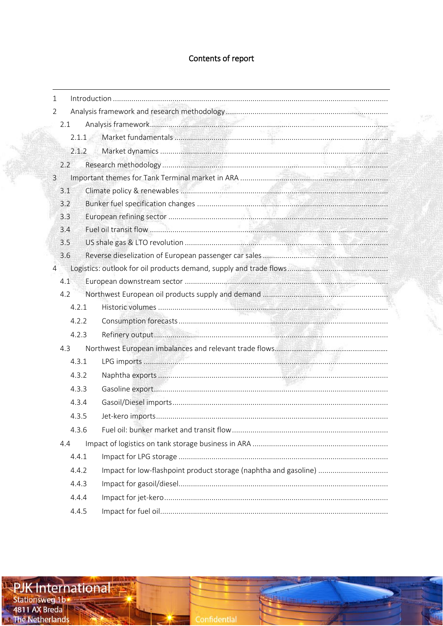# Contents of report

| $\mathbf{1}$   |                                                                  |  |
|----------------|------------------------------------------------------------------|--|
| $\overline{2}$ |                                                                  |  |
| 2.1            |                                                                  |  |
| $2.1.1 -$      |                                                                  |  |
| 2.1.2          |                                                                  |  |
| 2.2            |                                                                  |  |
| $\mathbf{3}$   |                                                                  |  |
| 3.1            |                                                                  |  |
| 3.2            |                                                                  |  |
| 3.3            |                                                                  |  |
| 3.4            |                                                                  |  |
| 3.5            |                                                                  |  |
| 3.6            |                                                                  |  |
| $\overline{4}$ |                                                                  |  |
| 4.1            |                                                                  |  |
| 4.2            |                                                                  |  |
| 4.2.1          |                                                                  |  |
| 4.2.2          |                                                                  |  |
| 4.2.3          |                                                                  |  |
| 4.3            |                                                                  |  |
| 4.3.1          |                                                                  |  |
| 4.3.2          |                                                                  |  |
| 4.3.3          |                                                                  |  |
| 4.3.4          |                                                                  |  |
| 4.3.5          |                                                                  |  |
| 4.3.6          |                                                                  |  |
| 4.4            |                                                                  |  |
| 4.4.1          |                                                                  |  |
| 4.4.2          | Impact for low-flashpoint product storage (naphtha and gasoline) |  |
| 4.4.3          |                                                                  |  |
| 4.4.4          |                                                                  |  |
| 4.4.5          |                                                                  |  |

<u> Ultra 1</u>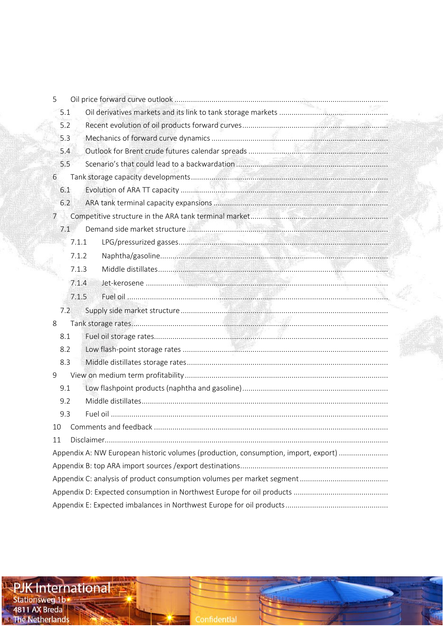| 5              |       |                                                                                    |
|----------------|-------|------------------------------------------------------------------------------------|
|                | 5.1   |                                                                                    |
|                | 5.2   |                                                                                    |
|                | 5.3   |                                                                                    |
|                | 5.4   |                                                                                    |
|                | 5.5   |                                                                                    |
| 6              |       |                                                                                    |
|                | 6.1   |                                                                                    |
|                | 6.2   |                                                                                    |
| $\overline{7}$ |       |                                                                                    |
|                | 7.1   |                                                                                    |
|                | 7.1.1 |                                                                                    |
|                | 7.1.2 |                                                                                    |
|                | 7.1.3 |                                                                                    |
|                | 7.1.4 |                                                                                    |
|                | 7.1.5 |                                                                                    |
|                | 7.2   |                                                                                    |
| 8              |       |                                                                                    |
|                | 8.1   |                                                                                    |
|                | 8.2   |                                                                                    |
|                | 8.3   |                                                                                    |
| 9              |       |                                                                                    |
|                | 9.1   |                                                                                    |
|                | 9.2   |                                                                                    |
|                | 9.3   |                                                                                    |
| 10             |       |                                                                                    |
| 11             |       |                                                                                    |
|                |       | Appendix A: NW European historic volumes (production, consumption, import, export) |
|                |       |                                                                                    |
|                |       |                                                                                    |
|                |       |                                                                                    |
|                |       |                                                                                    |
|                |       |                                                                                    |

**ExplK International** 

Confidential

بتنابا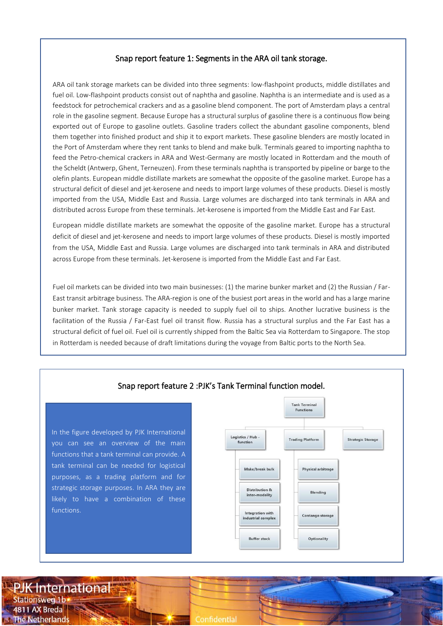#### Snap report feature 1: Segments in the ARA oil tank storage.

ARA oil tank storage markets can be divided into three segments: low-flashpoint products, middle distillates and fuel oil. Low-flashpoint products consist out of naphtha and gasoline. Naphtha is an intermediate and is used as a feedstock for petrochemical crackers and as a gasoline blend component. The port of Amsterdam plays a central role in the gasoline segment. Because Europe has a structural surplus of gasoline there is a continuous flow being exported out of Europe to gasoline outlets. Gasoline traders collect the abundant gasoline components, blend them together into finished product and ship it to export markets. These gasoline blenders are mostly located in the Port of Amsterdam where they rent tanks to blend and make bulk. Terminals geared to importing naphtha to feed the Petro-chemical crackers in ARA and West-Germany are mostly located in Rotterdam and the mouth of the Scheldt (Antwerp, Ghent, Terneuzen). From these terminals naphtha is transported by pipeline or barge to the olefin plants. European middle distillate markets are somewhat the opposite of the gasoline market. Europe has a structural deficit of diesel and jet-kerosene and needs to import large volumes of these products. Diesel is mostly imported from the USA, Middle East and Russia. Large volumes are discharged into tank terminals in ARA and distributed across Europe from these terminals. Jet-kerosene is imported from the Middle East and Far East.

European middle distillate markets are somewhat the opposite of the gasoline market. Europe has a structural deficit of diesel and jet-kerosene and needs to import large volumes of these products. Diesel is mostly imported from the USA, Middle East and Russia. Large volumes are discharged into tank terminals in ARA and distributed across Europe from these terminals. Jet-kerosene is imported from the Middle East and Far East.

Fuel oil markets can be divided into two main businesses: (1) the marine bunker market and (2) the Russian / Far-East transit arbitrage business. The ARA-region is one of the busiest port areas in the world and has a large marine bunker market. Tank storage capacity is needed to supply fuel oil to ships. Another lucrative business is the facilitation of the Russia / Far-East fuel oil transit flow. Russia has a structural surplus and the Far East has a structural deficit of fuel oil. Fuel oil is currently shipped from the Baltic Sea via Rotterdam to Singapore. The stop in Rotterdam is needed because of draft limitations during the voyage from Baltic ports to the North Sea.



**PJK** International **Stationsweg 1b** 4811 AX Breda **The Netherlands** 

Confidential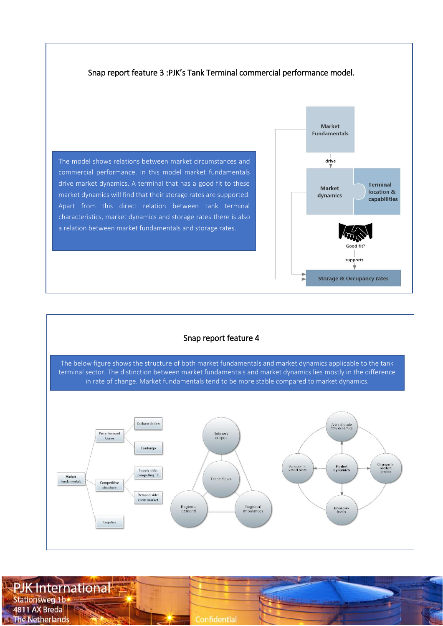



**PJK International Stationsweg 1b** 444 4811 AX Breda **The Netherlands** Confidential